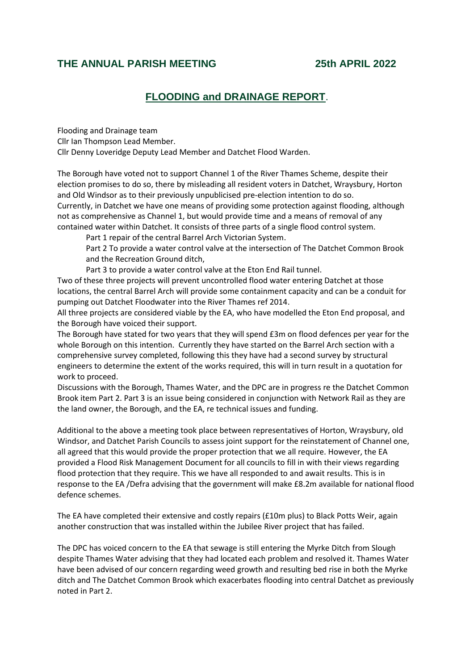## **THE ANNUAL PARISH MEETING 25th APRIL 2022**

## **FLOODING and DRAINAGE REPORT**.

Flooding and Drainage team Cllr Ian Thompson Lead Member. Cllr Denny Loveridge Deputy Lead Member and Datchet Flood Warden.

The Borough have voted not to support Channel 1 of the River Thames Scheme, despite their election promises to do so, there by misleading all resident voters in Datchet, Wraysbury, Horton and Old Windsor as to their previously unpublicised pre-election intention to do so. Currently, in Datchet we have one means of providing some protection against flooding, although not as comprehensive as Channel 1, but would provide time and a means of removal of any contained water within Datchet. It consists of three parts of a single flood control system.

Part 1 repair of the central Barrel Arch Victorian System.

Part 2 To provide a water control valve at the intersection of The Datchet Common Brook and the Recreation Ground ditch,

Part 3 to provide a water control valve at the Eton End Rail tunnel.

Two of these three projects will prevent uncontrolled flood water entering Datchet at those locations, the central Barrel Arch will provide some containment capacity and can be a conduit for pumping out Datchet Floodwater into the River Thames ref 2014.

All three projects are considered viable by the EA, who have modelled the Eton End proposal, and the Borough have voiced their support.

The Borough have stated for two years that they will spend £3m on flood defences per year for the whole Borough on this intention. Currently they have started on the Barrel Arch section with a comprehensive survey completed, following this they have had a second survey by structural engineers to determine the extent of the works required, this will in turn result in a quotation for work to proceed.

Discussions with the Borough, Thames Water, and the DPC are in progress re the Datchet Common Brook item Part 2. Part 3 is an issue being considered in conjunction with Network Rail as they are the land owner, the Borough, and the EA, re technical issues and funding.

Additional to the above a meeting took place between representatives of Horton, Wraysbury, old Windsor, and Datchet Parish Councils to assess joint support for the reinstatement of Channel one, all agreed that this would provide the proper protection that we all require. However, the EA provided a Flood Risk Management Document for all councils to fill in with their views regarding flood protection that they require. This we have all responded to and await results. This is in response to the EA /Defra advising that the government will make £8.2m available for national flood defence schemes.

The EA have completed their extensive and costly repairs (£10m plus) to Black Potts Weir, again another construction that was installed within the Jubilee River project that has failed.

The DPC has voiced concern to the EA that sewage is still entering the Myrke Ditch from Slough despite Thames Water advising that they had located each problem and resolved it. Thames Water have been advised of our concern regarding weed growth and resulting bed rise in both the Myrke ditch and The Datchet Common Brook which exacerbates flooding into central Datchet as previously noted in Part 2.